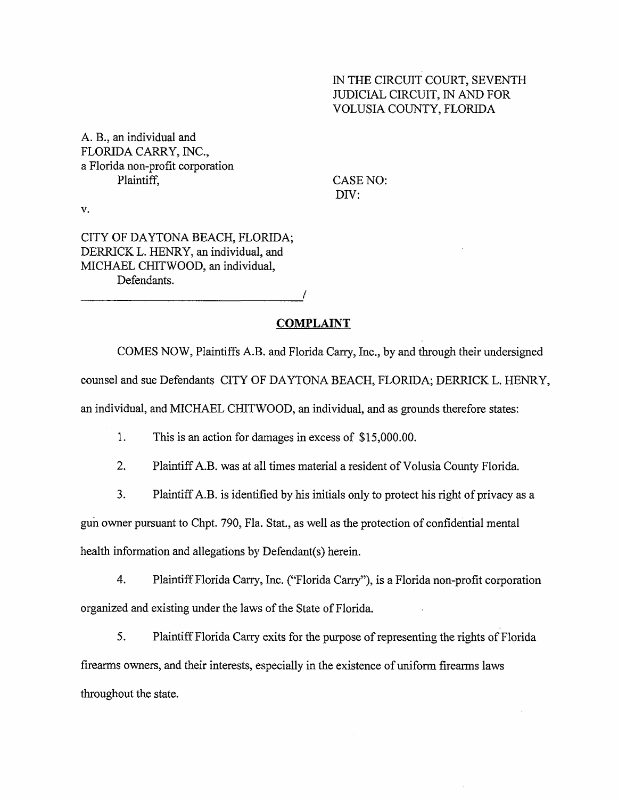### IN THE CIRCUIT COURT, SEVENTH JUDICIAL CIRCUIT, IN AND FOR VOLUSIA COUNTY, FLORIDA

A. B., an individual and FLORIDA CARRY, INC., a Florida non-profit corporation Plaintiff, CASE NO:

DIV:

v.

CITY OF DAYTONA BEACH, FLORIDA; DERRICK L. HENRY, an individual, and MICHAEL CHITWOOD, an individual, Defendants. **/**

### **COMPLAINT**

COMES NOW, Plaintiffs A.B. and Florida Carry, Inc., by and through their undersigned counsel and sue Defendants CITY OF DAYTONA BEACH, FLORIDA; DERRICK L. HENRY, an individual, and MICHAEL CHITWOOD, an individual, and as grounds therefore states:

1. This is an action for damages in excess of \$15,000.00.

2. Plaintiff A.B. was at all times material a resident of Volusia County Florida.

3. Plaintiff A.B. is identified by his initials only to protect his right of privacy as a

gun owner pursuant to Chpt. 790, Fla. Stat., as well as the protection of confidential mental

health information and allegations by Defendant(s) herein.

4. Plaintiff Florida Carry, Inc. ("Florida Carry"), is a Florida non-profit corporation organized and existing under the laws of the State of Florida.

5. Plaintiff Florida Carry exits for the purpose of representing the rights of Florida firearms owners, and their interests, especially in the existence of uniform firearms laws throughout the state.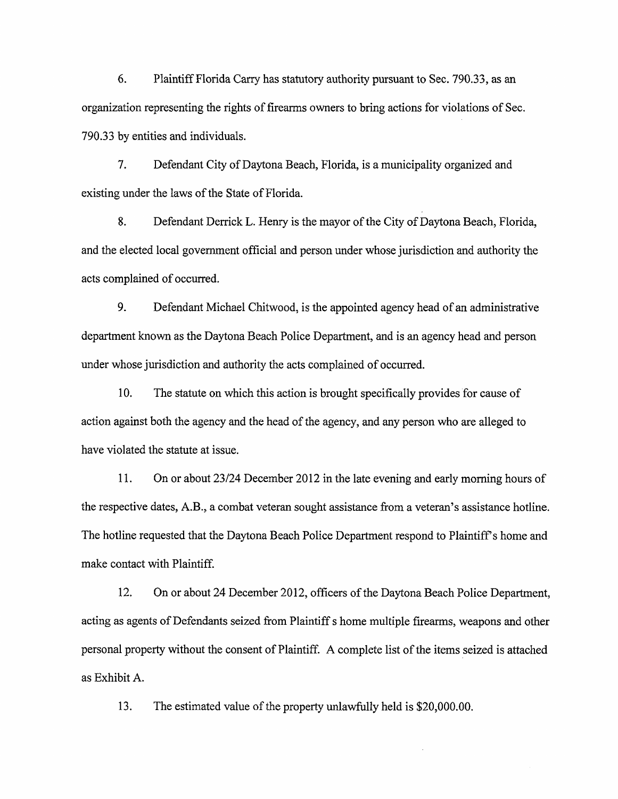6. Plaintiff Florida Carry has statutory authority pursuant to Sec. 790.33, as an organization representing the rights of firearms owners to bring actions for violations of Sec. 790.33 by entities and individuals.

7. Defendant City of Daytona Beach, Florida, is a municipality organized and existing under the laws of the State of Florida.

8. Defendant Derrick L. Henry is the mayor of the City of Daytona Beach, Florida, and the elected local government official and person under whose jurisdiction and authority the acts complained of occurred.

9. Defendant Michael Chitwood, is the appointed agency head of an administrative department known as the Daytona Beach Police Department, and is an agency head and person under whose jurisdiction and authority the acts complained of occurred.

10. The statute on which this action is brought specifically provides for cause of action against both the agency and the head of the agency, and any person who are alleged to have violated the statute at issue.

11. On or about 23/24 December 2012 in the late evening and early morning hours of the respective dates, A.B., a combat veteran sought assistance from a veteran's assistance hotline. The hotline requested that the Daytona Beach Police Department respond to Plaintiff's home and make contact with Plaintiff.

12. On or about 24 December 2012, officers of the Daytona Beach Police Department, acting as agents of Defendants seized from Plaintiff s home multiple firearms, weapons and other personal property without the consent of Plaintiff. A complete list of the items seized is attached as Exhibit A.

13. The estimated value of the property unlawfully held is \$20,000.00.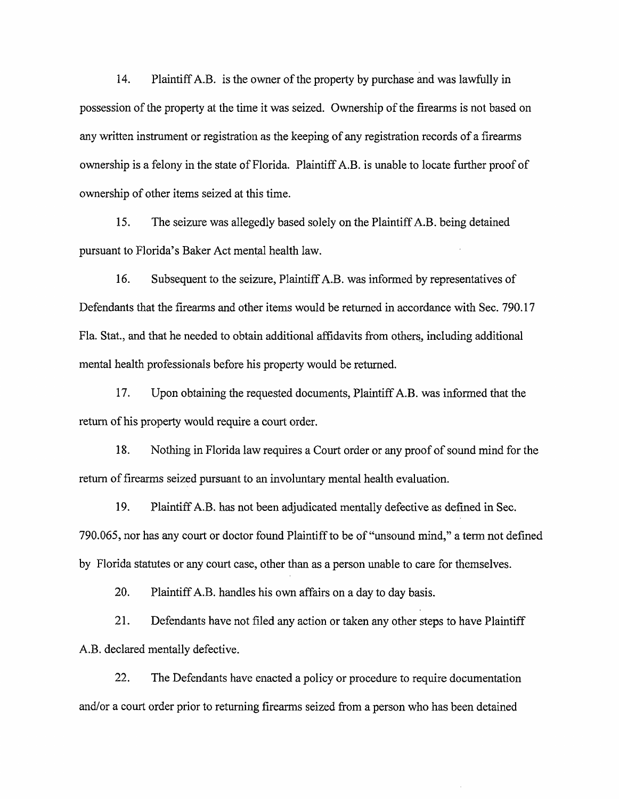14. Plaintiff A.B. is the owner of the property by purchase and was lawfully in possession of the property at the time it was seized. Ownership of the firearms is not based on any written instrument or registration as the keeping of any registration records of a firearms ownership is a felony in the state of Florida. Plaintiff A.B. is unable to locate further proof of ownership of other items seized at this time.

15. The seizure was allegedly based solely on the Plaintiff A.B. being detained pursuant to Florida's Baker Act mental health law.

16. Subsequent to the seizure, Plaintiff A.B. was informed by representatives of Defendants that the firearms and other items would be returned in accordance with Sec. 790.17 Fla. Stat., and that he needed to obtain additional affidavits from others, including additional mental health professionals before his property would be returned.

17. Upon obtaining the requested documents, Plaintiff A.B. was informed that the return of his property would require a court order.

18. Nothing in Florida law requires a Court order or any proof of sound mind for the return of firearms seized pursuant to an involuntary mental health evaluation.

19. Plaintiff A.B. has not been adjudicated mentally defective as defined in Sec. 790.065, nor has any court or doctor found Plaintiff to be of "unsound mind," a term not defined by Florida statutes or any court case, other than as a person unable to care for themselves.

20. Plaintiff A.B. handles his own affairs on a day to day basis.

21. Defendants have not filed any action or taken any other steps to have Plaintiff A.B. declared mentally defective.

22. The Defendants have enacted a policy or procedure to require documentation and/or a court order prior to returning firearms seized from a person who has been detained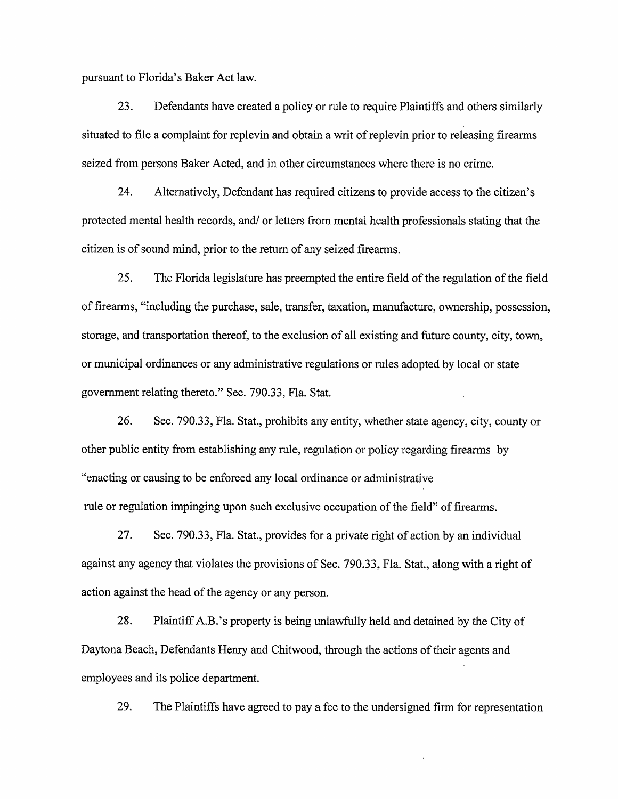pursuant to Florida's Baker Act law.

23. Defendants have created a policy or rule to require Plaintiffs and others similarly situated to file a complaint for replevin and obtain a writ of replevin prior to releasing firearms seized from persons Baker Acted, and in other circumstances where there is no crime.

24. Alternatively, Defendant has required citizens to provide access to the citizen's protected mental health records, and/ or letters from mental health professionals stating that the citizen is of sound mind, prior to the return of any seized firearms.

25. The Florida legislature has preempted the entire field of the regulation of the field of firearms, "including the purchase, sale, transfer, taxation, manufacture, ownership, possession, storage, and transportation thereof, to the exclusion of all existing and future county, city, town, or municipal ordinances or any administrative regulations or rules adopted by local or state government relating thereto." Sec. 790.33, Fla. Stat.

26. Sec. 790.33, Fla. Stat., prohibits any entity, whether state agency, city, county or other public entity from establishing any rule, regulation or policy regarding firearms by "enacting or causing to be enforced any local ordinance or administrative rule or regulation impinging upon such exclusive occupation of the field" of firearms.

27. Sec. 790.33, Fla. Stat., provides for a private right of action by an individual against any agency that violates the provisions of Sec. 790.33, Fla. Stat., along with a right of action against the head of the agency or any person.

28. Plaintiff A.B.'s property is being unlawfully held and detained by the City of Daytona Beach, Defendants Henry and Chitwood, through the actions of their agents and employees and its police department.

29. The Plaintiffs have agreed to pay a fee to the undersigned firm for representation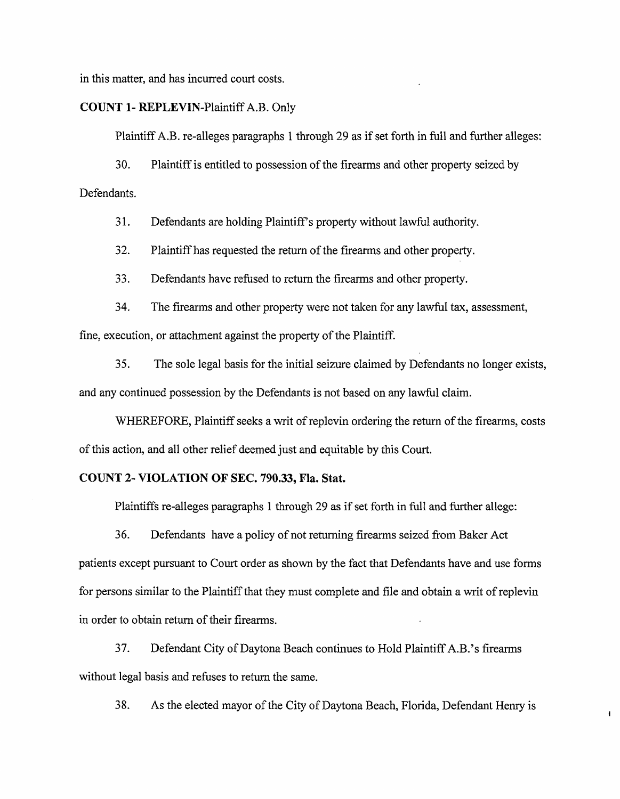in this matter, and has incurred court costs.

### COUNT 1- REPLEVIN-Plaintiff A.B. Only

Plaintiff A.B. re-alleges paragraphs 1 through 29 as if set forth in full and further alleges:

30. Plaintiff is entitled to possession of the firearms and other property seized by Defendants.

31. Defendants are holding Plaintiff's property without lawful authority.

32. Plaintiff has requested the return of the firearms and other property.

33. Defendants have refused to return the firearms and other property.

34. The firearms and other property were not taken for any lawful tax, assessment, fine, execution, or attachment against the property of the Plaintiff.

35. The sole legal basis for the initial seizure claimed by Defendants no longer exists, and any continued possession by the Defendants is not based on any lawful claim.

WHEREFORE, Plaintiff seeks a writ of replevin ordering the return of the firearms, costs of this action, and all other relief deemed just and equitable by this Court.

### COUNT 2- VIOLATION OF SEC. 790.33, Fla. Stat.

Plaintiffs re-alleges paragraphs 1 through 29 as if set forth in full and further allege:

36. Defendants have a policy of not returning firearms seized from Baker Act patients except pursuant to Court order as shown by the fact that Defendants have and use forms for persons similar to the Plaintiff that they must complete and file and obtain a writ of replevin in order to obtain return of their firearms.

37. Defendant City of Daytona Beach continues to Hold Plaintiff A.B.'s firearms without legal basis and refuses to return the same.

38. As the elected mayor of the City of Daytona Beach, Florida, Defendant Henry is

 $\mathbf{I}$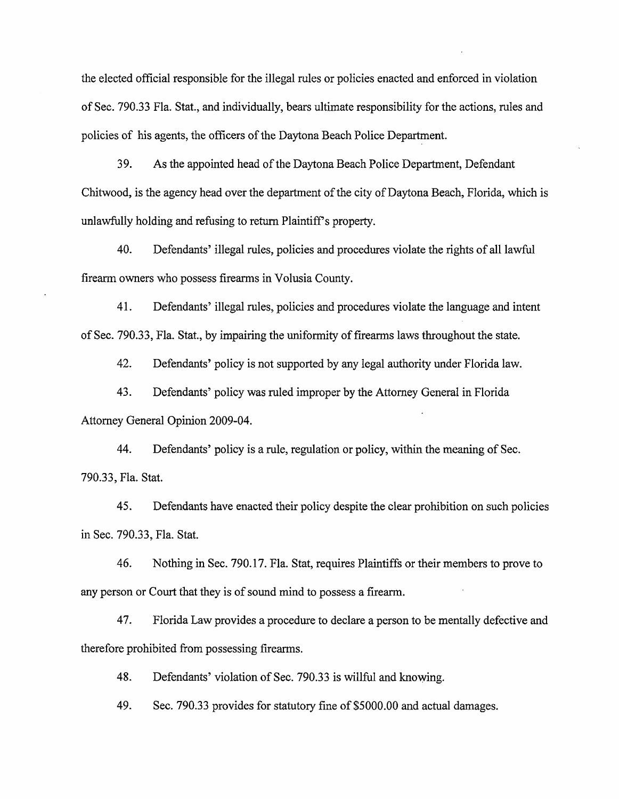the elected official responsible for the illegal rules or policies enacted and enforced in violation of Sec. 790.33 Fla. Stat., and individually, bears ultimate responsibility for the actions, rules and policies of his agents, the officers of the Daytona Beach Police Department.

39. As the appointed head of the Daytona Beach Police Department, Defendant Chitwood, is the agency head over the department of the city of Daytona Beach, Florida, which is unlawfully holding and refusing to return Plaintiff's property.

40. Defendants' illegal rules, policies and procedures violate the rights of all lawful firearm owners who possess firearms in Volusia County.

41. Defendants' illegal rules, policies and procedures violate the language and intent of Sec. 790.33, Fla. Stat, by impairing the uniformity of firearms laws throughout the state.

42. Defendants' policy is not supported by any legal authority under Florida law.

43. Defendants' policy was ruled improper by the Attorney General in Florida Attorney General Opinion 2009-04.

44. Defendants' policy is a rule, regulation or policy, within the meaning of Sec. 790.33, Fla. Stat.

45. Defendants have enacted their policy despite the clear prohibition on such policies in Sec. 790.33, Fla. Stat.

46. Nothing in Sec. 790.17. Fla. Stat, requires Plaintiffs or their members to prove to any person or Court that they is of sound mind to possess a firearm.

47. Florida Law provides a procedure to declare a person to be mentally defective and therefore prohibited from possessing firearms.

48. Defendants' violation of Sec. 790.33 is willful and knowing.

49. Sec. 790.33 provides for statutory fine of \$5000.00 and actual damages.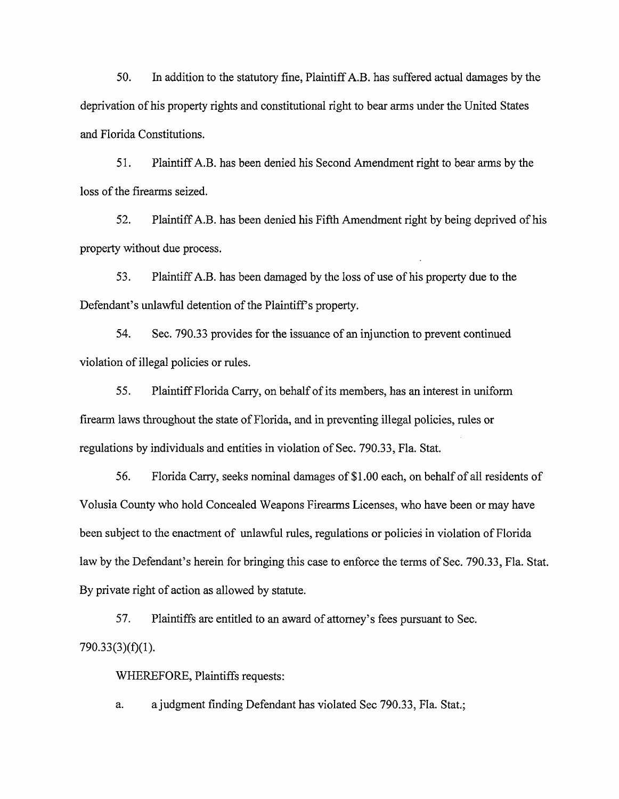50. In addition to the statutory fine, Plaintiff A.B. has suffered actual damages by the deprivation of his property rights and constitutional right to bear arms under the United States and Florida Constitutions.

51. Plaintiff A.B. has been denied his Second Amendment right to bear arms by the loss of the firearms seized.

52. Plaintiff A.B. has been denied his Fifth Amendment right by being deprived of his property without due process.

53. Plaintiff A.B. has been damaged by the loss of use of his property due to the Defendant's unlawful detention of the Plaintiff's property.

54. Sec. 790.33 provides for the issuance of an injunction to prevent continued violation of illegal policies or rules.

55. Plaintiff Florida Carry, on behalf of its members, has an interest in uniform firearm laws throughout the state of Florida, and in preventing illegal policies, rules or regulations by individuals and entities in violation of Sec. 790.33, Fla. Stat.

56. Florida Cany, seeks nominal damages of \$1.00 each, on behalf of all residents of Volusia County who hold Concealed Weapons Firearms Licenses, who have been or may have been subject to the enactment of unlawful rules, regulations or policies in violation of Florida law by the Defendant's herein for bringing this case to enforce the terms of Sec. 790.33, Fla. Stat. By private right of action as allowed by statute.

57. Plaintiffs are entitled to an award of attorney's fees pursuant to Sec. 790.33(3)(f)(l).

WHEREFORE, Plaintiffs requests:

a. ajudgment finding Defendant has violated Sec 790.33, Fla. Stat,;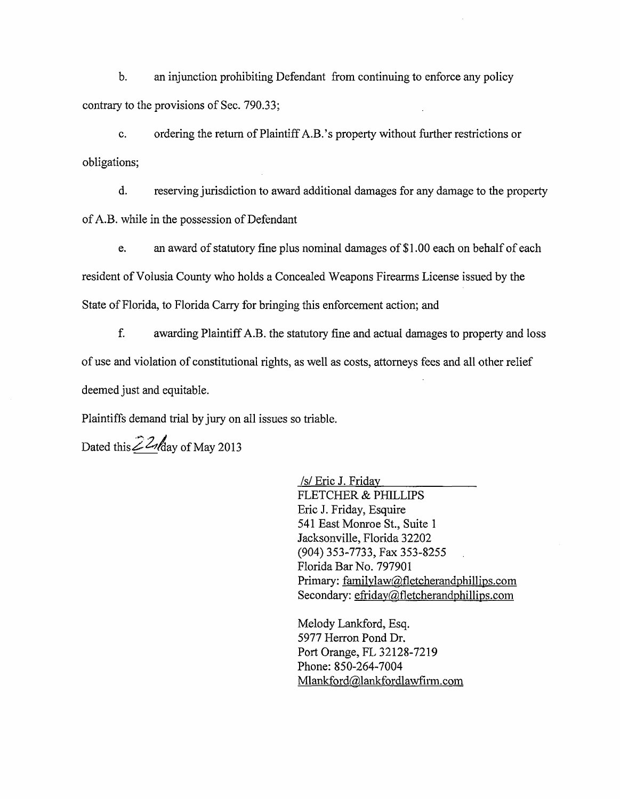b. an injunction prohibiting Defendant from continuing to enforce any policy contrary to the provisions of Sec. 790.33;

c. ordering the return of Plaintiff A.B. 's property without further restrictions or obligations;

d. reserving jurisdiction to award additional damages for any damage to the property of A.B. while in the possession of Defendant

e. an award of statutory fine plus nominal damages of \$ 1.00 each on behalf of each resident of Volusia County who holds a Concealed Weapons Firearms License issued by the State of Florida, to Florida Carry for bringing this enforcement action; and

f. awarding Plaintiff A.B. the statutory fine and actual damages to property and loss of use and violation of constitutional rights, as well as costs, attorneys fees and all other relief deemed just and equitable.

Plaintiffs demand trial by jury on all issues so triable.

Dated this  $\angle^ 2$  day of May 2013

/s/ Eric J. Friday FLETCHER & PHILLIPS Eric J. Friday, Esquire 541 East Monroe St., Suite 1 Jacksonville, Florida 32202 (904) 353-7733, Fax 353-8255 Florida Bar No. 797901 Primary: [familvlaw@fletcherandphillips.com](mailto:familvlaw@fletcherandphillips.com) Secondary:  $effiday@fletcherandphilips.com$ 

Melody Lankford, Esq. 5977 Herron Pond Dr. Port Orange, FL 32128-7219 Phone: 850-264-7004 Mlankford@lankfordlawfirm. com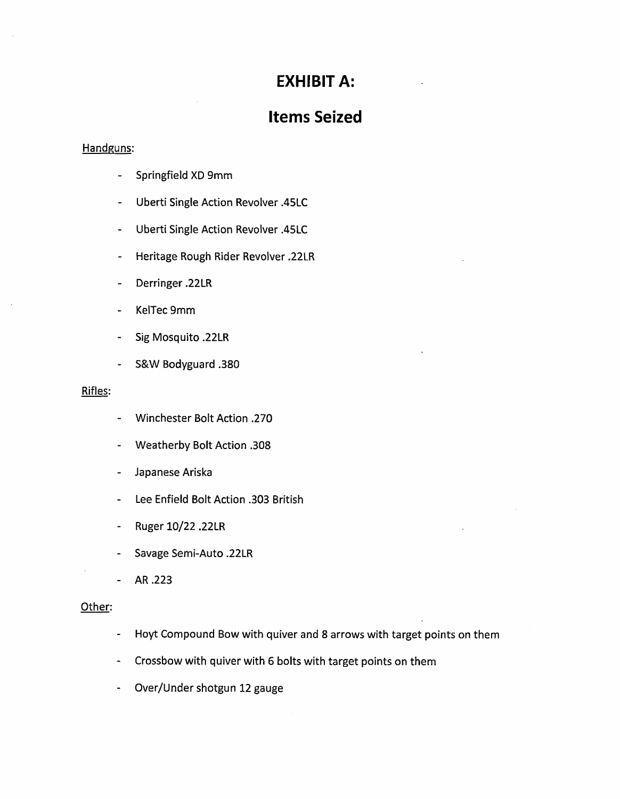## **EXHIBIT A:**

# **Items Seized**

### Handguns:

- Springfield XD 9mm
- Uberti Single Action Revolver .45LC  $\blacksquare$
- Uberti Single Action Revolver .45LC  $\blacksquare$
- Heritage Rough Rider Revolver .22LR  $\overline{\phantom{a}}$
- Derringer .22LR
- KelTec 9mm
- Sig Mosquito .22LR
- S&W Bodyguard .380

### Rifles:

- Winchester Bolt Action .270  $\blacksquare$
- Weatherby Bolt Action .308  $\mathbf{r}$
- Japanese Ariska  $\mathbb{L}^{\mathbb{N}}$
- Lee Enfield Bolt Action .303 British  $\blacksquare$
- Ruger10/22.22LR
- Savage Semi-Auto .22LR
- AR .223  $\Box$

#### Other:

- Hoyt Compound Bow with quiver and 8 arrows with target points on them  $\mathcal{L}_{\mathcal{A}}$
- Crossbow with quiver with 6 bolts with target points on them
- Over/Under shotgun 12 gauge